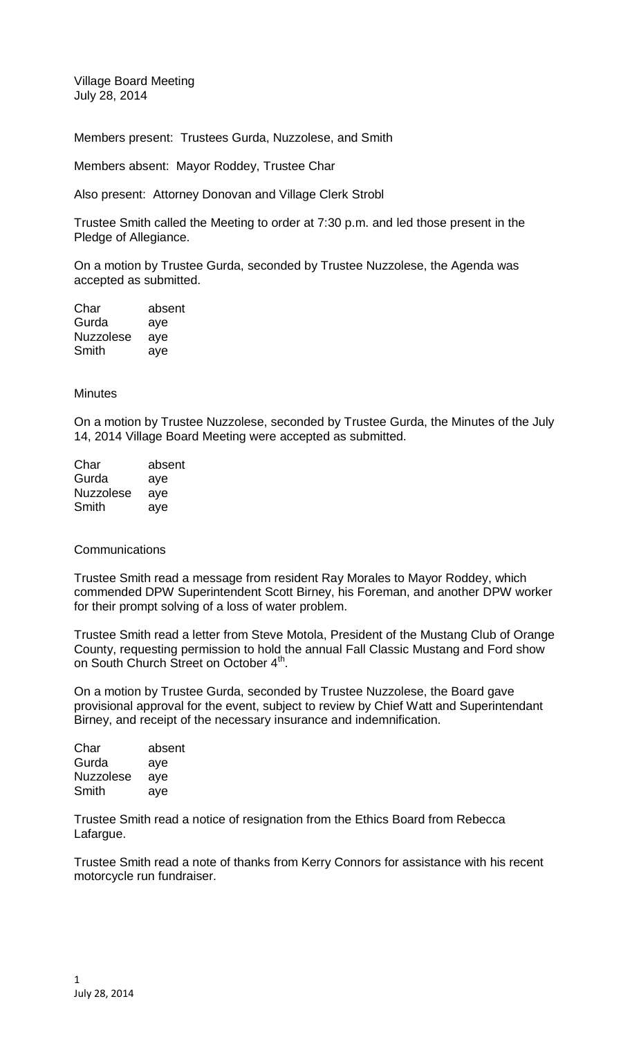Village Board Meeting July 28, 2014

Members present: Trustees Gurda, Nuzzolese, and Smith

Members absent: Mayor Roddey, Trustee Char

Also present: Attorney Donovan and Village Clerk Strobl

Trustee Smith called the Meeting to order at 7:30 p.m. and led those present in the Pledge of Allegiance.

On a motion by Trustee Gurda, seconded by Trustee Nuzzolese, the Agenda was accepted as submitted.

Char absent Gurda aye Nuzzolese aye Smith aye

## **Minutes**

On a motion by Trustee Nuzzolese, seconded by Trustee Gurda, the Minutes of the July 14, 2014 Village Board Meeting were accepted as submitted.

| Char             | absent |
|------------------|--------|
| Gurda            | aye    |
| <b>Nuzzolese</b> | aye    |
| Smith            | aye    |

## **Communications**

Trustee Smith read a message from resident Ray Morales to Mayor Roddey, which commended DPW Superintendent Scott Birney, his Foreman, and another DPW worker for their prompt solving of a loss of water problem.

Trustee Smith read a letter from Steve Motola, President of the Mustang Club of Orange County, requesting permission to hold the annual Fall Classic Mustang and Ford show on South Church Street on October 4<sup>th</sup>.

On a motion by Trustee Gurda, seconded by Trustee Nuzzolese, the Board gave provisional approval for the event, subject to review by Chief Watt and Superintendant Birney, and receipt of the necessary insurance and indemnification.

| absent |
|--------|
| aye    |
| aye    |
| aye    |
|        |

Trustee Smith read a notice of resignation from the Ethics Board from Rebecca Lafargue.

Trustee Smith read a note of thanks from Kerry Connors for assistance with his recent motorcycle run fundraiser.